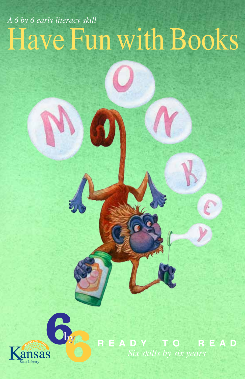## Have Fun with Books *A 6 by 6 early literacy skill*



**R E A D Y T O R E A D** *Six skills by six years*